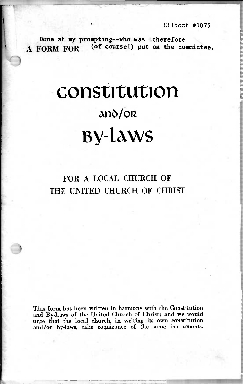**Done at my prompting--who was therefore**  A FORM FOR **(of course!) put on the committee.** 

# **constitution**  and/or **By-taws**

# FOR A LOCAL CHURCH OF THE UNITED CHURCH OF CHRIST

This form has been written in harmony with the Constitution and By-Laws of the United Church of Christ; and we would urge that the local church, in writing its own constitution and/or by-laws, take cognizance of the same instruments.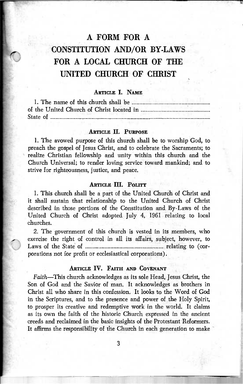# A FORM FOR A CONSTITUTION AND/OR BY-LAWS FOR A LOCAL CHURCH OF THE UNITED CHURCH OF CHRIST

#### **ARTICLE I. NAME**

#### **ARTICLE II. PURPOSE**

**1.** The avowed purpose of this church shall be to worship God, to preach the gospel of Jesus Christ, and to celebrate the Sacraments; to realize Christian fellowship and unity within this church and the Church Universal; to render loving service toward mankind; and to strive for righteousness, justice, and peace.

#### **ARTICLE III. POLITY**

1. This church shall be a part of the United Church of Christ and it shall sustain that relationship to the United Church of Christ described in those portions of the Constitution and By-Laws of the United Church of Christ adopted July 4, 1961 relating to local churches.

2. The government of this church is vested in its members, who exercise the right of control in all its affairs, subject, however, to Laws of the State of relating to (corporations not for profit or ecclesiastical corporations).

#### **ARTICLE IV. FAITH AND COVENANT**

*Faith—This* church acknowledges as its sole Head, Jesus Christ, the Son of God and the Savior of man. It acknowledges as brothers in Christ all who share in this confession. It looks to the Word of God in the Scriptures, and to the presence and power of the Holy Spirit, to prosper its creative and redemptive work in the world. It claims as its own the faith of the historic Church expressed in the ancient creeds and reclaimed in the basic insights of the Protestant Reformers. It affirms the responsibility of the Church in each generation to make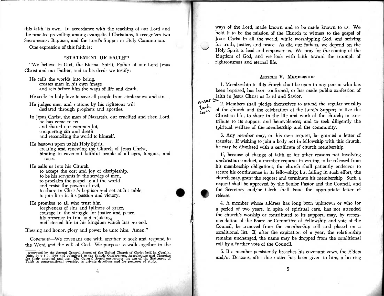this faith its own. In accordance with the teaching of our Lord and the practice prevailing among evangelical Christians, it recognizes two Sacraments: Baptism, and the Lord's Supper or Holy Communion.

One expression of this faith is:

#### "STATEMENT OF FAITH"1

"We believe in God, the Eternal Spirit, Father of our Lord Jesus Christ and our Father, and to his deeds we testify:

He calls the worlds into being, creates man in his own image and sets before him the ways of life and death.

He seeks in holy love to save all people from aimlessness and sin.

He judges men and nations by his righteous will declared through prophets and apostles.

In Jesus Christ, the man of Nazareth, our crucified and risen Lord, he has come to us and shared our common lot, conquering sin and death and reconciling the world to himself.

He bestows upon us his Holy Spirit, creating and renewing the Church of Jesus Christ, binding in covenant faithful people of all ages, tongues, and races.

•

took Cover

He calls us into his Church to accept the cost and joy of discipleship, to be his servants in the service of men, to proclaim the gospel to all the world and resist the powers of evil, to share in Christ's baptism and eat at his table, to join him in his passion and victory.

He promises to all who trust him forgiveness of sins and fullness of grace, courage in the struggle for justice and peace, his presence in trial and rejoicing, and eternal life in his kingdom which has no end.

Blessing and honor, glory and power be unto him. Amen."

Covenant—We covenant one with another to seek and respond to the Word and the will of God. We purpose to walk together in the ways of the Lord, made known and to be made known to us. We hold it to be the mission of the Church to witness to the gospel of Jesus Christ in all the world, while worshipping God, and striving for truth, justice, and peace. As did our fathers, we depend on the Holy Spirit to lead and empower us. We pray for the coming of the kingdom of God, and we look with faith toward the triumph of righteousness and eternal life.

#### **ARTICLE V. MEMBERSHIP**

I. Membership in this church shall be open to any person who has been baptized, has been confirmed, or has made public confession of faith in Jesus Christ as Lord and Savior.

2. Members shall pledge themselves to attend the regular worship of the church and the celebration of the Lord's Supper; to live the Christian life; to share in the life and work of the church; to contribute to its support and benevolences; and to seek diligently the spiritual welfare of the membership and the community.

3. Any member may, on his own request, be granted a letter of transfer. If wishing to join a body not in fellowship with this church, he may be dismissed with a certificate of church membership.

If, because of change of faith or for other reasons not involving unchristian conduct, a member requests in writing to be released from his membership obligations, the church shall patiently endeavor to secure his continuance in its fellowship; but failing in such effort, the church may grant the request and terminate his membership. Such a request shall be approved by the Senior Pastor and the Council, and the Secretary and/or Clerk shall issue the appropriate letter of release.

4. A member whose address has long been unknown or who for a period of two years, in spite of spiritual care, has not attended the church's worship or contributed to its support, may, by recommendation of the Board or Committee of Fellowship and vote of the Council, be removed from the membership roll and placed on a conditional list. If, after the expiration of a year, the relationship remains unchanged, the name may be dropped from the conditional roll by a further vote of the Council.

5. If a member persistently breaches his covenant vows, the Elders and/or Deacons, after due notice has been given to him, a hearing

<sup>&</sup>lt;sup>1</sup> Approved by the Second General Synod of the United Church of Christ held in Oberlin, Ohio, July 5-9, 1959 and submitted to the Synods Conferences, Associations and Churches for their approval and use. The General Synod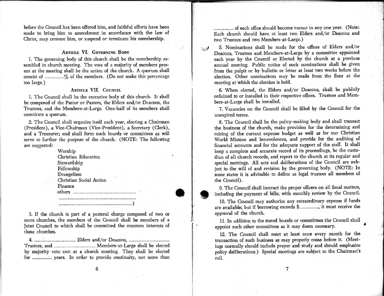before the Council has been offered him, and faithful efforts have been made to bring him to amendment in accordance with the law of Christ, may censure him, or suspend or terminate his membership.

#### **ARTICLE VI. GOVERNING BODY**

**1.** The governing body of this church shall be the membership assembled in church meeting. The vote of a majority of members present at the meeting shall be the action of the church. A quorum shall consist of  $\ldots$   $\ldots$   $\%$  of the members. (Do not make this percentage too large.)

#### **ARTICLE VII. COUNCIL**

1. The Council shall be the executive body of this church. It shall be composed of the Pastor or Pastors, the Elders and/or Deacons, the Trustees, and the Members-at-Large. One-half of its members shall constitute a quorum.

2. The Council shall organize itself each year, electing a Chairman (President), a Vice-Chairman (Vice-President), a Secretary (Clerk), and a Treasurer; and shall form such boards or committees as will serve to further the purpose of the church. (NOTE: The following are suggested:

| Worship                 |
|-------------------------|
| Christian Education     |
| Stewardship             |
| Fellowship              |
| Evangelism              |
| Christian Social Action |
| Finance                 |
| others                  |
|                         |

3. If the church is part of a pastoral charge composed of two or more churches, the members of the Council shall be members of a Joint Council to which shall be committed the common interests of these churches.

4. Elders and/or Deacons, Trustees, and Members-at-Large shall be elected by majority vote cast at a church meeting. They shall be elected for years. In order to provide continuity, not more than ................. of each office should become vacant in any one year. (Note: Each church should have at least two Elders and/or Deacons and two Trustees and two Members-at-Large.)

S. Nominations shall be made for the offices of Elders and/or Deacons, Trustees and Members-at-Large by a committee appointed each year by the Council or Elected by the church at a previous annual meeting. Public notice of such nominations shall be given from the pulpit or by bulletin or letter at least two weeks before the election. Other nominations may be made from the floor at the meeting at which the election is held.

6. When elected, the Elders and/or Deacons, shall be publicly ordained to or installed in their respective offices. Trustees and Members-at-Large shall be installed.

7. Vacancies on the Council shall be filled by the Council for the unexpired terms.

8. The Council shall be the policy-making body and shall transact the business of the church, make provision for the determining and raising of the current expense budget as well as for our Christian World Mission and benevolences, and provide for the auditing of financial accounts and for the adequate support of the staff. It shall keep a complete and accurate record of its proceedings, be the custodian of all church records, and report to the church at its regular and special mettings. All acts and deliberations of the Council are subject to the will of and revision by the governing body. (NOTE: In some states it is advisable to define as legal trustees all members of the Council).

9. The Council shall instruct the proper officers on all fiscal matters, including the payment of bills; with monthly review by the Council.

10. The Council may authorize any extraordinary expense if funds are available; but if borrowing exceeds \$................, it must receive the approval of the church.

11. In addition to the stated boards or committees the Council shall appoint such other committees as it may deem necessary.

12. The Council shall meet at least once every month for the transaction of such business as may properly come before it. (Meetings normally should include prayer and study and should emphasize policy deliberations.) Special meetings are subject to the Chairman's call.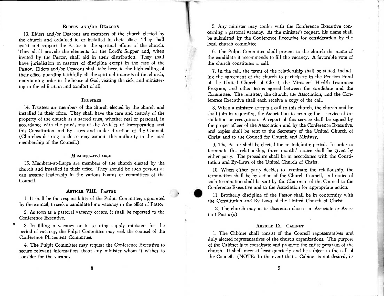#### **ELDERS AND/OR DEACONS**

13. Elders and/or Deacons are members of the church elected by the church and ordained to or installed in their office. They shall assist and support the Pastor in the spiritual affairs of the church. They shall provide the elements for the Lord's Supper and, when invited by the Pastor, shall aid in their distribution. They shall have jurisdiction in matters of discipline except in the case of the Pastor. Elders and/or Deacons shall take heed to the high calling of their office, guarding faithfully all the spiritual interests of the church, maintaining order in the house of God, visiting the sick, and ministering to the edification and comfort of all.

#### **TRUSTEES**

14. Trustees are members of the church elected by the church and installed in their office. They shall have the care and custody of the property of the church as a sacred trust, whether real or personal, in accordance with the provisions of the Articles of Incorporation and this Constitution and By-Laws and under direction of the Council. (Churches desiring to do so may commit this authority to the total membership of the Council.)

#### **MEMBERS-AT-LARGE**

15. Members-at-Large are members of the church elected by the church and installed in their office. They should be such persons as can assume leadership in the various boards or committees of the Council.

#### **ARTICLE VIII. PASTOR**

1. It shall be the responsibility of the Pulpit Committee, appointed by the council, to seek a candidate for a vacancy in the office of Pastor.

2. As soon as a pastoral vacancy occurs, it shall be reported to the Conference Executive.

**<sup>4</sup>**3. In filling a vacancy or in securing supply ministers for the period of vacancy, the Pulpit Committee may seek the counsel of the Conference Placement Committee.

4. The Pulpit Committee may request the Conference Executive to secure relevant information about any minister whom it wishes to consider for the vacancy.

5. Any minister may confer with the Conference Executive concerning a pastoral vacancy. At the minister's request, his name shall be submitted by the Conference Executive for consideration by the local church committee.

6. The Pulpit Committee shall present to the church the name of the candidate it recommends to fill the vacancy. A favorable vote of the church constitutes a call.

7. In the call, the terms of the relationship shall be stated, including the agreement of the church to participate in the Pension Fund of the United Church of Christ, the Ministers' Health Insurance Program, and other terms agreed between the candidate and the Committee. The minister, the church, the Association, and the Conference Executive shall each receive a copy of the call.

8. When a minister accepts a call to this church, the church and he shall join in requesting the Association to arrange for a service of installation or recognition. A report of this service shall be signed by the proper officer of the Association and by the Conference Executive, and copies shall be sent to the Secretary of the United Church of Christ and to the Council for Church and Ministry.

9. The Pastor shall be elected for an indefinite period. In order to terminate this relationship, three months' notice shall be given by either party. The procedure shall be in accordance with the Constitution and By-Laws of the United Church of Christ.

10. When either party decides to terminate the relationship, the termination shall be by action of the Church Council, and notice of such termination shall be sent by the Chairman of the Council to the Conference Executive and to the Association for appropriate action.

11. Brotherly discipline of the Pastor shall be in conformity with the Constitution and By-Laws of the United Church of Christ.

12. The church may at its discretion choose an Associate or Assistant Pastor(s).

#### **ARTICLE IX. CABINET**

1. The Cabinet shall consist of the Council representatives and duly elected representatives of the church organizations. The purpose of the Cabinet is to coordinate and promote the entire program of the church. It shall meet at least quarterly and be subject to the call of the Council. (NOTE: In the event that a Cabinet is not desired, its

8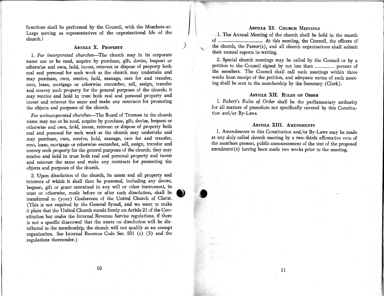functions shall be performed by the Council, with the Members-at-Large serving as representatives of the organizational life of the church.)

#### **ARTICLE X. PROPERTY**

*1. For incorporated churches—The* church may in its corporate name sue or be sued, acquire by purchase, gift, devise, bequest or otherwise and own, hold, invest, reinvest or dispose of property both real and personal for such work as the church may undertake and may purchase, own, receive, hold, manage, care for and transfer, rent, lease, mortgage or otherwise encumber, sell, assign, transfer and convey such property for the general purposes of the church; it may receive and hold in trust both real and personal property and invest and reinvest the same and make any contracts for promoting the objects and purposes of the church.

*For unincorporated* churches—The Board of Trustees in the church name may sue or be sued, acquire by purchase, gift, devise, bequest or otherwise and own, hold, invest, reinvest or dispose of property both real and personal for such work as the church may undertake and may purchase, own, receive, hold, manage, care for and transfer, rent, lease, mortgage or otherwise encumber, sell, assign, transfer and convey such property for the general purposes of the church; they may receive and hold in trust both real and personal property and invest and reinvest the same and make any contracts for promoting the objects and purposes of the church.

2. Upon dissolution of the church, its assets and all property and interests of which it shall then be possessed, including any devise, bequest, gift or grant contained in any will or other instrument, in trust or otherwise, made before or after such dissolution, shall be transferred to (your) Conference of the United Church of Christ. (This is not required by the General Synod, and we want to make it plain that the United Church stands firmly on Article 21 of the Constitution but under the Internal Revenue Service regulations, if there is not a specific disavowal that the assets on dissolution will be distributed to the membership, the church will not qualify as an exempt organization. See Internal Revenue Code Sec. 501 (c) (3) and the regulations thereunder.)

#### **ARTICLE XI. CHURCH MEETINGS**

**#.14. MI MAI t1.1 {In** IMHTEMBII

**I.** The Annual Meeting of the church shall be held in the month of At this meeting, the Council, the officers of the church, the Pastor(s), and all church organizations shall submit their annual reports in writing.

2. Special church meetings may be called by the Council or by a petition to the Council signed by not less than ................ percent of the members. The Council shall call such meetings within three weeks from receipt of the petition, and adequate notice of such meeting shall be sent to the membership by the Secretary (Clerk).

#### **ARTICLE XII. RULES OF ORDER**

**1.** *Robert's Rules of Order* shall be the parliamentary authority for all matters of procedure not specifically covered by this Constitution and/or By-Laws.

#### **ARTICLE XIII. AMENDMENTS**

**1.** Amendments to this Constitution and/or By-Laws may be made at any duly called church meeting by a two-thirds affirmative vote of the members present, public announcement of the text of the proposed amndment(s) having been made two weeks prior to the meeting.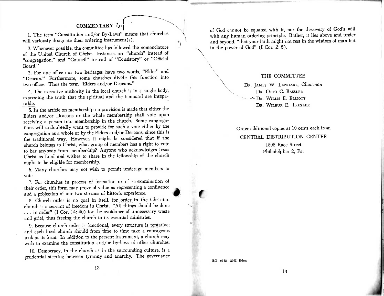### COMMENTARY  $\bigcup$ -

1. The term "Constitution and/or By-Laws" means that churches will variously designate their ordering instrument(s).

2. Whenever possible, the committee has followed the nomenclature of the United Church of Christ. Instances are "church" instead of "congregation," and "Council" instead of "Consistory" or "Official Board."

3. For one office our two heritages have two words, "Elder" and "Deacon." Furthermore, some churches divide this function into two offices. Thus the term "Elders and/or Deacons."

4. The executive authority in the local church is in a single body, expressing the truth that the spiritual and the temporal are inseparable.

5. In the article on membership no provision is made that either the Elders and/or Deacons or the whole membership shall vote upon receiving a person into membership in the church. Some congregations will undoubtedly want to provide for such a vote either by the congregation as a whole or by the Elders and/or Deacons, since this is the traditional way. However, it might be considered that if the church belongs to Christ, what group of members has a right to vote to bar anybody from membership? Anyone who acknowledges Jesus Christ as Lord and wishes to share in the fellowship of the church ought to be eligible for membership.

6. Many churches may not wish to permit underage members to vote.

7. For churches in process of formation or of re-examination of their order, this form may prove of value as representing a confluence and a projection of our two streams of historic experience.

8. Church order is no goal in itself, for order in the Christian church is a servant of freedom in Christ. "All things should be done ... in order" (I Cor. 14: 40) for the avoidance of unnecessary waste and grief, thus freeing the church to its essential ministries.

9. Because church order is functional, every structure is tentative; and each local church should from time to time take a courageous look at its form. In addition to the present instrument, a church may wish to examine the constitution and/or by-laws of other churches.

10. Democracy, in the church as in the surrounding culture, is a prudential steering between tyranny and anarchy. The governance of God cannot be equated with it, nor the discovery of God's will with nny human ordering principle. Rather, it lies above and under and beyond, "that your faith might not rest in the wisdom of man but in the power of God" (I Cor. 2: 5).

#### THE COMMITTEE

## DR. JAMES W. LENHART, *Chairman*  DR. OTTO C. BASSLER Da. WILLIS E. ELLIOTT DR. WILBUR E. TREXLER

Order additional copies at 10 cents each from CENTRAL DISTRIBUTION CENTER 1505 Race Street Philadelphia 2, Pa.

EC-0563-20M Eden